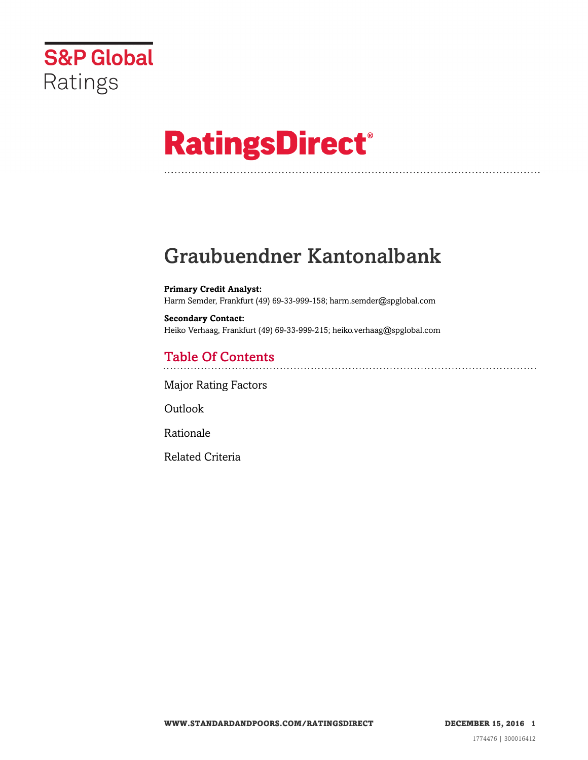

# **RatingsDirect®**

## Graubuendner Kantonalbank

**Primary Credit Analyst:** Harm Semder, Frankfurt (49) 69-33-999-158; harm.semder@spglobal.com

**Secondary Contact:** Heiko Verhaag, Frankfurt (49) 69-33-999-215; heiko.verhaag@spglobal.com

### Table Of Contents

[Major Rating Factors](#page-1-0)

[Outlook](#page--1-0)

[Rationale](#page-2-0)

[Related Criteria](#page-8-0)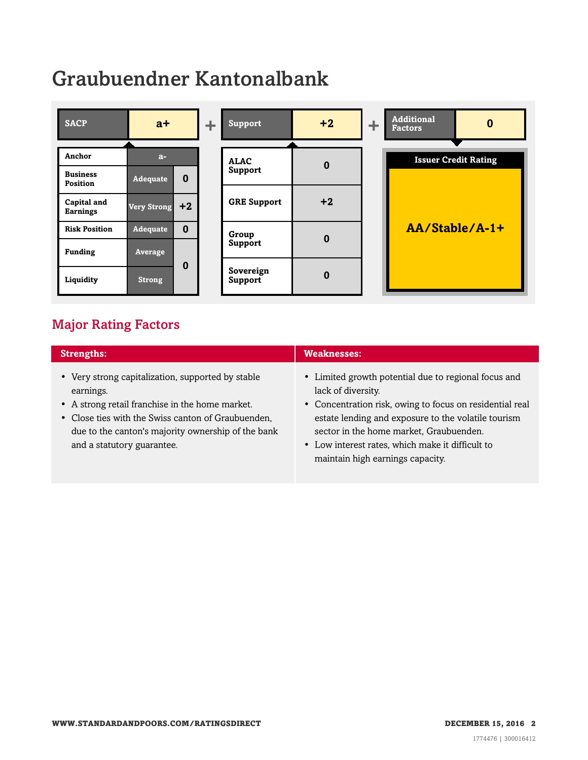## Graubuendner Kantonalbank



### <span id="page-1-0"></span>Major Rating Factors

| <b>Strengths:</b>                                                                                                                                                                                                                                           | <b>Weaknesses:</b>                                                                                                                                                                                                                                                                                                               |
|-------------------------------------------------------------------------------------------------------------------------------------------------------------------------------------------------------------------------------------------------------------|----------------------------------------------------------------------------------------------------------------------------------------------------------------------------------------------------------------------------------------------------------------------------------------------------------------------------------|
| • Very strong capitalization, supported by stable<br>earnings.<br>• A strong retail franchise in the home market.<br>• Close ties with the Swiss canton of Graubuenden,<br>due to the canton's majority ownership of the bank<br>and a statutory guarantee. | • Limited growth potential due to regional focus and<br>lack of diversity.<br>• Concentration risk, owing to focus on residential real<br>estate lending and exposure to the volatile tourism<br>sector in the home market, Graubuenden.<br>• Low interest rates, which make it difficult to<br>maintain high earnings capacity. |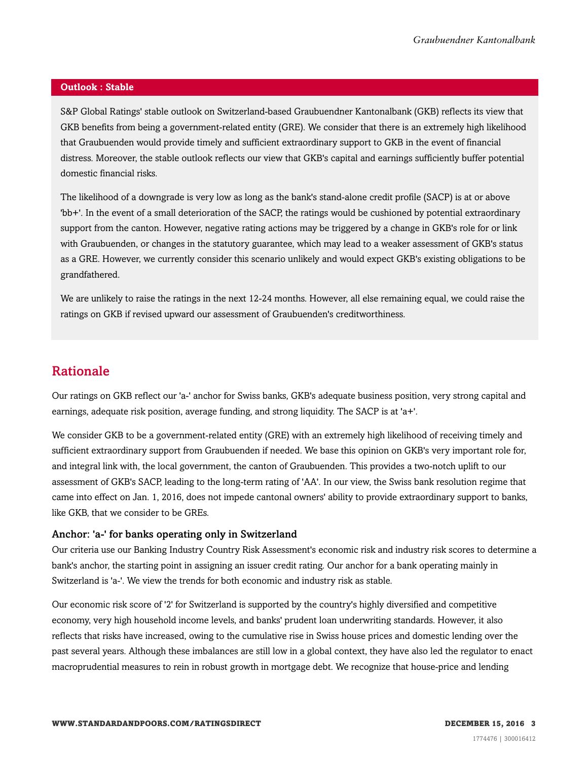#### **Outlook : Stable**

S&P Global Ratings' stable outlook on Switzerland-based Graubuendner Kantonalbank (GKB) reflects its view that GKB benefits from being a government-related entity (GRE). We consider that there is an extremely high likelihood that Graubuenden would provide timely and sufficient extraordinary support to GKB in the event of financial distress. Moreover, the stable outlook reflects our view that GKB's capital and earnings sufficiently buffer potential domestic financial risks.

The likelihood of a downgrade is very low as long as the bank's stand-alone credit profile (SACP) is at or above 'bb+'. In the event of a small deterioration of the SACP, the ratings would be cushioned by potential extraordinary support from the canton. However, negative rating actions may be triggered by a change in GKB's role for or link with Graubuenden, or changes in the statutory guarantee, which may lead to a weaker assessment of GKB's status as a GRE. However, we currently consider this scenario unlikely and would expect GKB's existing obligations to be grandfathered.

We are unlikely to raise the ratings in the next 12-24 months. However, all else remaining equal, we could raise the ratings on GKB if revised upward our assessment of Graubuenden's creditworthiness.

#### <span id="page-2-0"></span>Rationale

Our ratings on GKB reflect our 'a-' anchor for Swiss banks, GKB's adequate business position, very strong capital and earnings, adequate risk position, average funding, and strong liquidity. The SACP is at 'a+'.

We consider GKB to be a government-related entity (GRE) with an extremely high likelihood of receiving timely and sufficient extraordinary support from Graubuenden if needed. We base this opinion on GKB's very important role for, and integral link with, the local government, the canton of Graubuenden. This provides a two-notch uplift to our assessment of GKB's SACP, leading to the long-term rating of 'AA'. In our view, the Swiss bank resolution regime that came into effect on Jan. 1, 2016, does not impede cantonal owners' ability to provide extraordinary support to banks, like GKB, that we consider to be GREs.

#### Anchor: 'a-' for banks operating only in Switzerland

Our criteria use our Banking Industry Country Risk Assessment's economic risk and industry risk scores to determine a bank's anchor, the starting point in assigning an issuer credit rating. Our anchor for a bank operating mainly in Switzerland is 'a-'. We view the trends for both economic and industry risk as stable.

Our economic risk score of '2' for Switzerland is supported by the country's highly diversified and competitive economy, very high household income levels, and banks' prudent loan underwriting standards. However, it also reflects that risks have increased, owing to the cumulative rise in Swiss house prices and domestic lending over the past several years. Although these imbalances are still low in a global context, they have also led the regulator to enact macroprudential measures to rein in robust growth in mortgage debt. We recognize that house-price and lending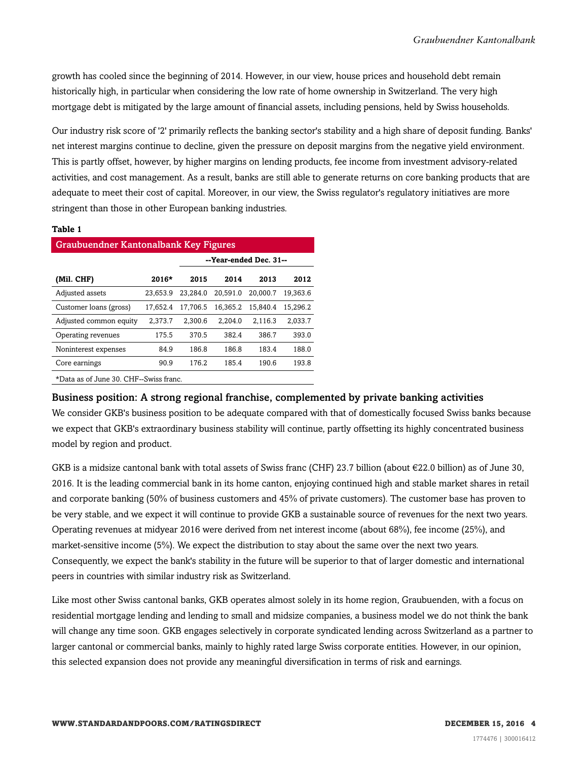growth has cooled since the beginning of 2014. However, in our view, house prices and household debt remain historically high, in particular when considering the low rate of home ownership in Switzerland. The very high mortgage debt is mitigated by the large amount of financial assets, including pensions, held by Swiss households.

Our industry risk score of '2' primarily reflects the banking sector's stability and a high share of deposit funding. Banks' net interest margins continue to decline, given the pressure on deposit margins from the negative yield environment. This is partly offset, however, by higher margins on lending products, fee income from investment advisory-related activities, and cost management. As a result, banks are still able to generate returns on core banking products that are adequate to meet their cost of capital. Moreover, in our view, the Swiss regulator's regulatory initiatives are more stringent than those in other European banking industries.

#### **Table 1**

| Graubuendner Kantonalbank Key Figures  |          |                        |          |          |          |  |  |  |
|----------------------------------------|----------|------------------------|----------|----------|----------|--|--|--|
|                                        |          | --Year-ended Dec. 31-- |          |          |          |  |  |  |
| (Mil. CHF)                             | $2016*$  | 2015                   | 2014     | 2013     | 2012     |  |  |  |
| Adjusted assets                        | 23.653.9 | 23.284.0               | 20,591.0 | 20.000.7 | 19.363.6 |  |  |  |
| Customer loans (gross)                 | 17.652.4 | 17.706.5               | 16.365.2 | 15.840.4 | 15.296.2 |  |  |  |
| Adjusted common equity                 | 2,373.7  | 2,300.6                | 2,204.0  | 2,116.3  | 2,033.7  |  |  |  |
| Operating revenues                     | 175.5    | 370.5                  | 382.4    | 386.7    | 393.0    |  |  |  |
| Noninterest expenses                   | 84.9     | 186.8                  | 186.8    | 183.4    | 188.0    |  |  |  |
| Core earnings                          | 90.9     | 176.2                  | 185.4    | 190.6    | 193.8    |  |  |  |
| *Data as of June 30. CHF--Swiss franc. |          |                        |          |          |          |  |  |  |

#### Business position: A strong regional franchise, complemented by private banking activities

We consider GKB's business position to be adequate compared with that of domestically focused Swiss banks because we expect that GKB's extraordinary business stability will continue, partly offsetting its highly concentrated business model by region and product.

GKB is a midsize cantonal bank with total assets of Swiss franc (CHF) 23.7 billion (about  $\epsilon$ 22.0 billion) as of June 30, 2016. It is the leading commercial bank in its home canton, enjoying continued high and stable market shares in retail and corporate banking (50% of business customers and 45% of private customers). The customer base has proven to be very stable, and we expect it will continue to provide GKB a sustainable source of revenues for the next two years. Operating revenues at midyear 2016 were derived from net interest income (about 68%), fee income (25%), and market-sensitive income (5%). We expect the distribution to stay about the same over the next two years. Consequently, we expect the bank's stability in the future will be superior to that of larger domestic and international peers in countries with similar industry risk as Switzerland.

Like most other Swiss cantonal banks, GKB operates almost solely in its home region, Graubuenden, with a focus on residential mortgage lending and lending to small and midsize companies, a business model we do not think the bank will change any time soon. GKB engages selectively in corporate syndicated lending across Switzerland as a partner to larger cantonal or commercial banks, mainly to highly rated large Swiss corporate entities. However, in our opinion, this selected expansion does not provide any meaningful diversification in terms of risk and earnings.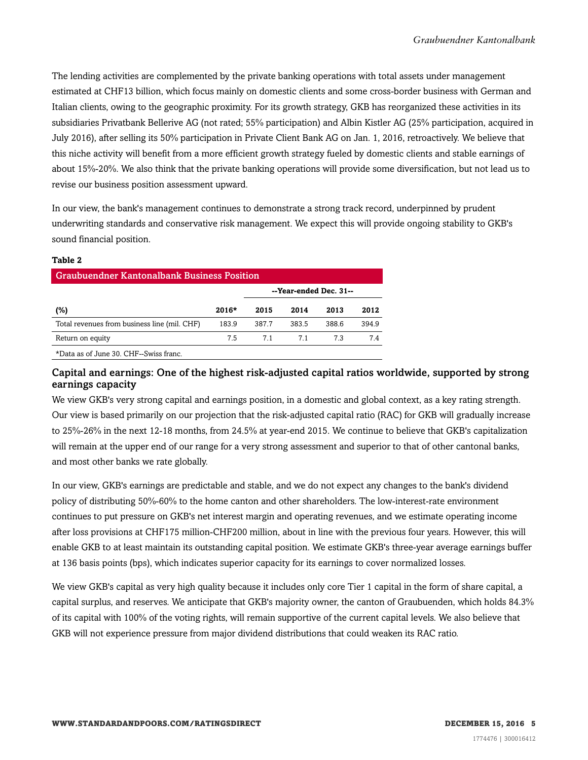The lending activities are complemented by the private banking operations with total assets under management estimated at CHF13 billion, which focus mainly on domestic clients and some cross-border business with German and Italian clients, owing to the geographic proximity. For its growth strategy, GKB has reorganized these activities in its subsidiaries Privatbank Bellerive AG (not rated; 55% participation) and Albin Kistler AG (25% participation, acquired in July 2016), after selling its 50% participation in Private Client Bank AG on Jan. 1, 2016, retroactively. We believe that this niche activity will benefit from a more efficient growth strategy fueled by domestic clients and stable earnings of about 15%-20%. We also think that the private banking operations will provide some diversification, but not lead us to revise our business position assessment upward.

In our view, the bank's management continues to demonstrate a strong track record, underpinned by prudent underwriting standards and conservative risk management. We expect this will provide ongoing stability to GKB's sound financial position.

#### **Table 2**

| <b>Graubuendner Kantonalbank Business Position</b> |         |       |       |       |       |  |  |  |
|----------------------------------------------------|---------|-------|-------|-------|-------|--|--|--|
| --Year-ended Dec. 31--                             |         |       |       |       |       |  |  |  |
| (%)                                                | $2016*$ | 2015  | 2014  | 2013  | 2012  |  |  |  |
| Total revenues from business line (mil. CHF)       | 183.9   | 387.7 | 383.5 | 388.6 | 394.9 |  |  |  |
| Return on equity                                   | 7.5     | 71    | 71    | 7.3   | 74    |  |  |  |
|                                                    |         |       |       |       |       |  |  |  |

\*Data as of June 30. CHF--Swiss franc.

#### Capital and earnings: One of the highest risk-adjusted capital ratios worldwide, supported by strong earnings capacity

We view GKB's very strong capital and earnings position, in a domestic and global context, as a key rating strength. Our view is based primarily on our projection that the risk-adjusted capital ratio (RAC) for GKB will gradually increase to 25%-26% in the next 12-18 months, from 24.5% at year-end 2015. We continue to believe that GKB's capitalization will remain at the upper end of our range for a very strong assessment and superior to that of other cantonal banks, and most other banks we rate globally.

In our view, GKB's earnings are predictable and stable, and we do not expect any changes to the bank's dividend policy of distributing 50%-60% to the home canton and other shareholders. The low-interest-rate environment continues to put pressure on GKB's net interest margin and operating revenues, and we estimate operating income after loss provisions at CHF175 million-CHF200 million, about in line with the previous four years. However, this will enable GKB to at least maintain its outstanding capital position. We estimate GKB's three-year average earnings buffer at 136 basis points (bps), which indicates superior capacity for its earnings to cover normalized losses.

We view GKB's capital as very high quality because it includes only core Tier 1 capital in the form of share capital, a capital surplus, and reserves. We anticipate that GKB's majority owner, the canton of Graubuenden, which holds 84.3% of its capital with 100% of the voting rights, will remain supportive of the current capital levels. We also believe that GKB will not experience pressure from major dividend distributions that could weaken its RAC ratio.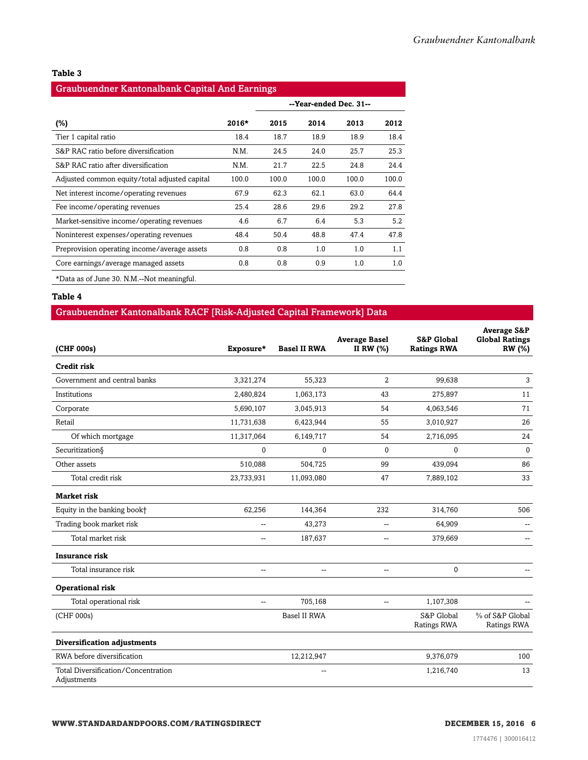#### **Table 3**

#### Graubuendner Kantonalbank Capital And Earnings

|                                               |         | --Year-ended Dec. 31-- |       |       |       |  |
|-----------------------------------------------|---------|------------------------|-------|-------|-------|--|
| $(\%)$                                        | $2016*$ | 2015                   | 2014  | 2013  | 2012  |  |
| Tier 1 capital ratio                          | 18.4    | 18.7                   | 18.9  | 18.9  | 18.4  |  |
| S&P RAC ratio before diversification          | N.M.    | 24.5                   | 24.0  | 25.7  | 25.3  |  |
| S&P RAC ratio after diversification           | N.M.    | 21.7                   | 22.5  | 24.8  | 24.4  |  |
| Adjusted common equity/total adjusted capital | 100.0   | 100.0                  | 100.0 | 100.0 | 100.0 |  |
| Net interest income/operating revenues        | 67.9    | 62.3                   | 62.1  | 63.0  | 64.4  |  |
| Fee income/operating revenues                 | 25.4    | 28.6                   | 29.6  | 29.2  | 27.8  |  |
| Market-sensitive income/operating revenues    | 4.6     | 6.7                    | 6.4   | 5.3   | 5.2   |  |
| Noninterest expenses/operating revenues       | 48.4    | 50.4                   | 48.8  | 47.4  | 47.8  |  |
| Preprovision operating income/average assets  | 0.8     | 0.8                    | 1.0   | 1.0   | 1.1   |  |
| Core earnings/average managed assets          | 0.8     | 0.8                    | 0.9   | 1.0   | 1.0   |  |
| *Data as of June 30. N.M.—Not meaningful.     |         |                        |       |       |       |  |

#### **Table 4**

#### Graubuendner Kantonalbank RACF [Risk-Adjusted Capital Framework] Data

| (CHF 000s)                                         | Exposure*                | <b>Basel II RWA</b> | <b>Average Basel</b><br>II RW (%) | <b>S&amp;P Global</b><br><b>Ratings RWA</b> | <b>Average S&amp;P</b><br><b>Global Ratings</b><br><b>RW</b> (%) |
|----------------------------------------------------|--------------------------|---------------------|-----------------------------------|---------------------------------------------|------------------------------------------------------------------|
| <b>Credit risk</b>                                 |                          |                     |                                   |                                             |                                                                  |
| Government and central banks                       | 3,321,274                | 55,323              | $\overline{2}$                    | 99.638                                      | 3                                                                |
| Institutions                                       | 2,480,824                | 1,063,173           | 43                                | 275,897                                     | 11                                                               |
| Corporate                                          | 5,690,107                | 3,045,913           | 54                                | 4,063,546                                   | 71                                                               |
| Retail                                             | 11,731,638               | 6,423,944           | 55                                | 3,010,927                                   | 26                                                               |
| Of which mortgage                                  | 11,317,064               | 6,149,717           | 54                                | 2,716,095                                   | 24                                                               |
| Securitization§                                    | 0                        | $\mathbf{0}$        | $\mathbf{0}$                      | $\mathbf{0}$                                | $\pmb{0}$                                                        |
| Other assets                                       | 510,088                  | 504,725             | 99                                | 439,094                                     | 86                                                               |
| Total credit risk                                  | 23,733,931               | 11,093,080          | 47                                | 7,889,102                                   | 33                                                               |
| <b>Market risk</b>                                 |                          |                     |                                   |                                             |                                                                  |
| Equity in the banking book+                        | 62,256                   | 144,364             | 232                               | 314,760                                     | 506                                                              |
| Trading book market risk                           | $\overline{a}$           | 43.273              | $\overline{a}$                    | 64.909                                      |                                                                  |
| Total market risk                                  | Щ,                       | 187,637             | -−                                | 379,669                                     |                                                                  |
| <b>Insurance risk</b>                              |                          |                     |                                   |                                             |                                                                  |
| Total insurance risk                               | $\overline{\phantom{m}}$ | --                  | --                                | $\mathbf 0$                                 |                                                                  |
| <b>Operational risk</b>                            |                          |                     |                                   |                                             |                                                                  |
| Total operational risk                             | $\sim$ $\sim$            | 705,168             | $\overline{a}$                    | 1,107,308                                   |                                                                  |
| (CHF 000s)                                         |                          | Basel II RWA        |                                   | S&P Global<br>Ratings RWA                   | % of S&P Global<br>Ratings RWA                                   |
| Diversification adjustments                        |                          |                     |                                   |                                             |                                                                  |
| RWA before diversification                         |                          | 12,212,947          |                                   | 9,376,079                                   | 100                                                              |
| Total Diversification/Concentration<br>Adjustments |                          |                     |                                   | 1,216,740                                   | 13                                                               |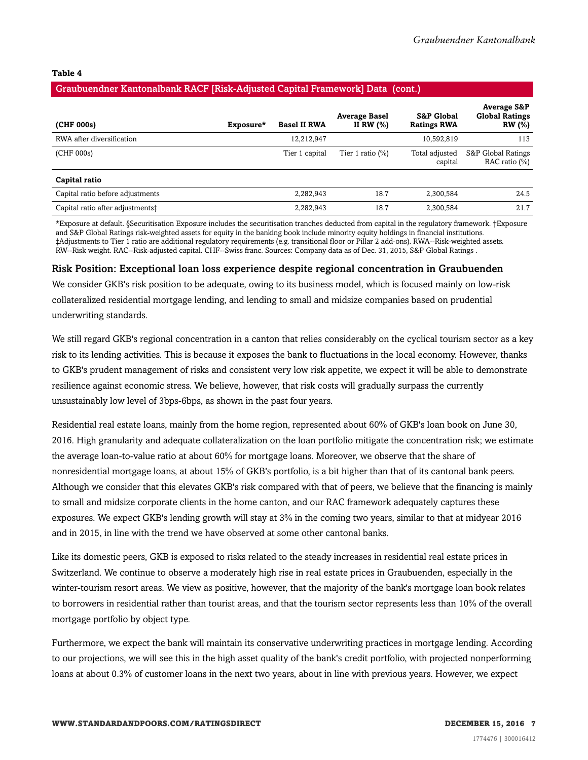#### **Table 4**

#### Graubuendner Kantonalbank RACF [Risk-Adjusted Capital Framework] Data (cont.)

| (CHF 000s)                       | Exposure* | <b>Basel II RWA</b> | <b>Average Basel</b><br>II RW $(\%)$ | <b>S&amp;P Global</b><br><b>Ratings RWA</b> | <b>Average S&amp;P</b><br><b>Global Ratings</b><br><b>RW</b> (%) |
|----------------------------------|-----------|---------------------|--------------------------------------|---------------------------------------------|------------------------------------------------------------------|
| RWA after diversification        |           | 12,212,947          |                                      | 10,592,819                                  | 113                                                              |
| (CHF 000s)                       |           | Tier 1 capital      | Tier 1 ratio $(\%)$                  | Total adjusted<br>capital                   | S&P Global Ratings<br>RAC ratio (%)                              |
| Capital ratio                    |           |                     |                                      |                                             |                                                                  |
| Capital ratio before adjustments |           | 2,282,943           | 18.7                                 | 2,300,584                                   | 24.5                                                             |
| Capital ratio after adjustments: |           | 2,282,943           | 18.7                                 | 2,300,584                                   | 21.7                                                             |

\*Exposure at default. §Securitisation Exposure includes the securitisation tranches deducted from capital in the regulatory framework. †Exposure and S&P Global Ratings risk-weighted assets for equity in the banking book include minority equity holdings in financial institutions. ‡Adjustments to Tier 1 ratio are additional regulatory requirements (e.g. transitional floor or Pillar 2 add-ons). RWA--Risk-weighted assets. RW--Risk weight. RAC--Risk-adjusted capital. CHF--Swiss franc. Sources: Company data as of Dec. 31, 2015, S&P Global Ratings .

#### Risk Position: Exceptional loan loss experience despite regional concentration in Graubuenden

We consider GKB's risk position to be adequate, owing to its business model, which is focused mainly on low-risk collateralized residential mortgage lending, and lending to small and midsize companies based on prudential underwriting standards.

We still regard GKB's regional concentration in a canton that relies considerably on the cyclical tourism sector as a key risk to its lending activities. This is because it exposes the bank to fluctuations in the local economy. However, thanks to GKB's prudent management of risks and consistent very low risk appetite, we expect it will be able to demonstrate resilience against economic stress. We believe, however, that risk costs will gradually surpass the currently unsustainably low level of 3bps-6bps, as shown in the past four years.

Residential real estate loans, mainly from the home region, represented about 60% of GKB's loan book on June 30, 2016. High granularity and adequate collateralization on the loan portfolio mitigate the concentration risk; we estimate the average loan-to-value ratio at about 60% for mortgage loans. Moreover, we observe that the share of nonresidential mortgage loans, at about 15% of GKB's portfolio, is a bit higher than that of its cantonal bank peers. Although we consider that this elevates GKB's risk compared with that of peers, we believe that the financing is mainly to small and midsize corporate clients in the home canton, and our RAC framework adequately captures these exposures. We expect GKB's lending growth will stay at 3% in the coming two years, similar to that at midyear 2016 and in 2015, in line with the trend we have observed at some other cantonal banks.

Like its domestic peers, GKB is exposed to risks related to the steady increases in residential real estate prices in Switzerland. We continue to observe a moderately high rise in real estate prices in Graubuenden, especially in the winter-tourism resort areas. We view as positive, however, that the majority of the bank's mortgage loan book relates to borrowers in residential rather than tourist areas, and that the tourism sector represents less than 10% of the overall mortgage portfolio by object type.

Furthermore, we expect the bank will maintain its conservative underwriting practices in mortgage lending. According to our projections, we will see this in the high asset quality of the bank's credit portfolio, with projected nonperforming loans at about 0.3% of customer loans in the next two years, about in line with previous years. However, we expect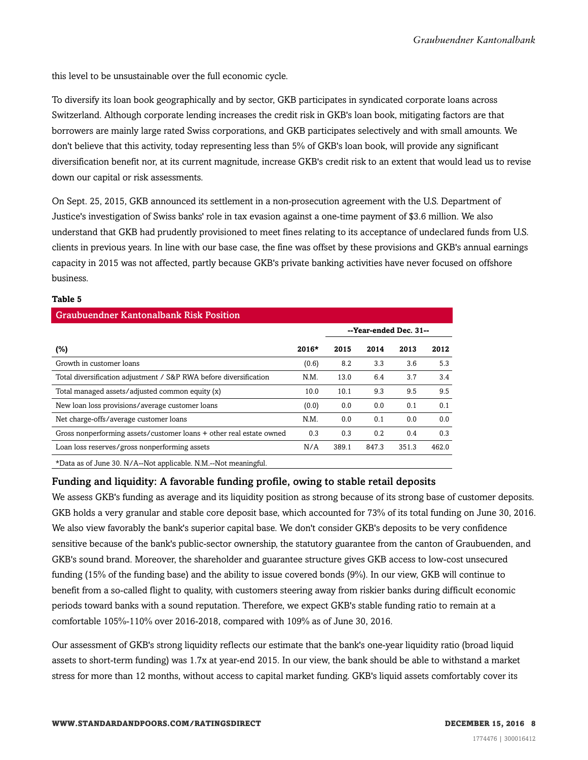this level to be unsustainable over the full economic cycle.

To diversify its loan book geographically and by sector, GKB participates in syndicated corporate loans across Switzerland. Although corporate lending increases the credit risk in GKB's loan book, mitigating factors are that borrowers are mainly large rated Swiss corporations, and GKB participates selectively and with small amounts. We don't believe that this activity, today representing less than 5% of GKB's loan book, will provide any significant diversification benefit nor, at its current magnitude, increase GKB's credit risk to an extent that would lead us to revise down our capital or risk assessments.

On Sept. 25, 2015, GKB announced its settlement in a non-prosecution agreement with the U.S. Department of Justice's investigation of Swiss banks' role in tax evasion against a one-time payment of \$3.6 million. We also understand that GKB had prudently provisioned to meet fines relating to its acceptance of undeclared funds from U.S. clients in previous years. In line with our base case, the fine was offset by these provisions and GKB's annual earnings capacity in 2015 was not affected, partly because GKB's private banking activities have never focused on offshore business.

#### **Table 5**

| <b>Graubuendner Kantonalbank Risk Position</b>                      |         |       |                        |       |       |  |  |  |
|---------------------------------------------------------------------|---------|-------|------------------------|-------|-------|--|--|--|
|                                                                     |         |       | --Year-ended Dec. 31-- |       |       |  |  |  |
| (%)                                                                 | $2016*$ | 2015  | 2014                   | 2013  | 2012  |  |  |  |
| Growth in customer loans                                            | (0.6)   | 8.2   | 3.3                    | 3.6   | 5.3   |  |  |  |
| Total diversification adjustment / S&P RWA before diversification   | N.M.    | 13.0  | 6.4                    | 3.7   | 3.4   |  |  |  |
| Total managed assets/adjusted common equity (x)                     | 10.0    | 10.1  | 9.3                    | 9.5   | 9.5   |  |  |  |
| New loan loss provisions/average customer loans                     | (0.0)   | 0.0   | 0.0                    | 0.1   | 0.1   |  |  |  |
| Net charge-offs/average customer loans                              | N.M.    | 0.0   | 0.1                    | 0.0   | 0.0   |  |  |  |
| Gross nonperforming assets/customer loans + other real estate owned | 0.3     | 0.3   | 0.2                    | 0.4   | 0.3   |  |  |  |
| Loan loss reserves/gross nonperforming assets                       | N/A     | 389.1 | 847.3                  | 351.3 | 462.0 |  |  |  |
|                                                                     |         |       |                        |       |       |  |  |  |

\*Data as of June 30. N/A--Not applicable. N.M.--Not meaningful.

#### Funding and liquidity: A favorable funding profile, owing to stable retail deposits

We assess GKB's funding as average and its liquidity position as strong because of its strong base of customer deposits. GKB holds a very granular and stable core deposit base, which accounted for 73% of its total funding on June 30, 2016. We also view favorably the bank's superior capital base. We don't consider GKB's deposits to be very confidence sensitive because of the bank's public-sector ownership, the statutory guarantee from the canton of Graubuenden, and GKB's sound brand. Moreover, the shareholder and guarantee structure gives GKB access to low-cost unsecured funding (15% of the funding base) and the ability to issue covered bonds (9%). In our view, GKB will continue to benefit from a so-called flight to quality, with customers steering away from riskier banks during difficult economic periods toward banks with a sound reputation. Therefore, we expect GKB's stable funding ratio to remain at a comfortable 105%-110% over 2016-2018, compared with 109% as of June 30, 2016.

Our assessment of GKB's strong liquidity reflects our estimate that the bank's one-year liquidity ratio (broad liquid assets to short-term funding) was 1.7x at year-end 2015. In our view, the bank should be able to withstand a market stress for more than 12 months, without access to capital market funding. GKB's liquid assets comfortably cover its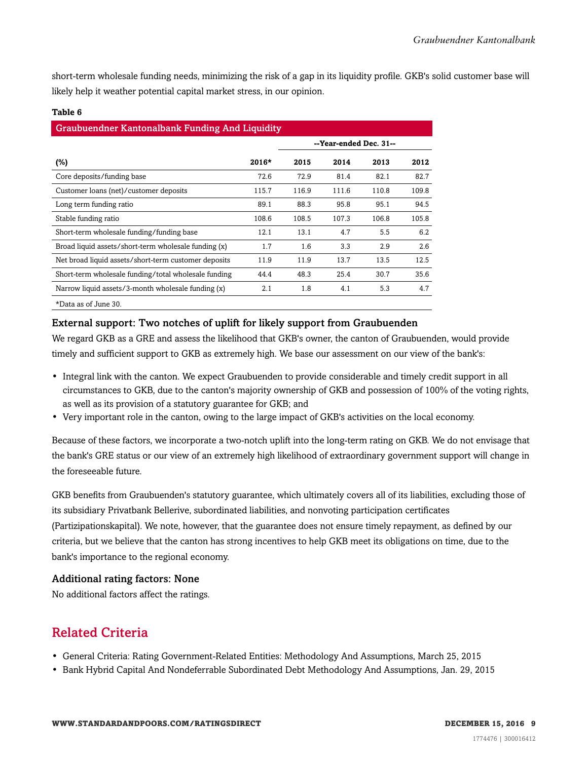short-term wholesale funding needs, minimizing the risk of a gap in its liquidity profile. GKB's solid customer base will likely help it weather potential capital market stress, in our opinion.

| <b>Graubuendner Kantonalbank Funding And Liquidity</b> |         |                        |       |       |       |  |  |  |  |
|--------------------------------------------------------|---------|------------------------|-------|-------|-------|--|--|--|--|
|                                                        |         | --Year-ended Dec. 31-- |       |       |       |  |  |  |  |
| $(\%)$                                                 | $2016*$ | 2015                   | 2014  | 2013  | 2012  |  |  |  |  |
| Core deposits/funding base                             | 72.6    | 72.9                   | 81.4  | 82.1  | 82.7  |  |  |  |  |
| Customer loans (net)/customer deposits                 | 115.7   | 116.9                  | 111.6 | 110.8 | 109.8 |  |  |  |  |
| Long term funding ratio                                | 89.1    | 88.3                   | 95.8  | 95.1  | 94.5  |  |  |  |  |
| Stable funding ratio                                   | 108.6   | 108.5                  | 107.3 | 106.8 | 105.8 |  |  |  |  |
| Short-term wholesale funding/funding base              | 12.1    | 13.1                   | 4.7   | 5.5   | 6.2   |  |  |  |  |
| Broad liquid assets/short-term wholesale funding (x)   | 1.7     | 1.6                    | 3.3   | 2.9   | 2.6   |  |  |  |  |
| Net broad liquid assets/short-term customer deposits   | 11.9    | 11.9                   | 13.7  | 13.5  | 12.5  |  |  |  |  |
| Short-term wholesale funding/total wholesale funding   | 44.4    | 48.3                   | 25.4  | 30.7  | 35.6  |  |  |  |  |
| Narrow liquid assets/3-month wholesale funding (x)     | 2.1     | 1.8                    | 4.1   | 5.3   | 4.7   |  |  |  |  |
| *Data as of June 30.                                   |         |                        |       |       |       |  |  |  |  |

#### **Table 6**

#### External support: Two notches of uplift for likely support from Graubuenden

We regard GKB as a GRE and assess the likelihood that GKB's owner, the canton of Graubuenden, would provide timely and sufficient support to GKB as extremely high. We base our assessment on our view of the bank's:

- Integral link with the canton. We expect Graubuenden to provide considerable and timely credit support in all circumstances to GKB, due to the canton's majority ownership of GKB and possession of 100% of the voting rights, as well as its provision of a statutory guarantee for GKB; and
- Very important role in the canton, owing to the large impact of GKB's activities on the local economy.

Because of these factors, we incorporate a two-notch uplift into the long-term rating on GKB. We do not envisage that the bank's GRE status or our view of an extremely high likelihood of extraordinary government support will change in the foreseeable future.

GKB benefits from Graubuenden's statutory guarantee, which ultimately covers all of its liabilities, excluding those of its subsidiary Privatbank Bellerive, subordinated liabilities, and nonvoting participation certificates (Partizipationskapital). We note, however, that the guarantee does not ensure timely repayment, as defined by our criteria, but we believe that the canton has strong incentives to help GKB meet its obligations on time, due to the bank's importance to the regional economy.

#### Additional rating factors: None

<span id="page-8-0"></span>No additional factors affect the ratings.

### Related Criteria

- General Criteria: Rating Government-Related Entities: Methodology And Assumptions, March 25, 2015
- Bank Hybrid Capital And Nondeferrable Subordinated Debt Methodology And Assumptions, Jan. 29, 2015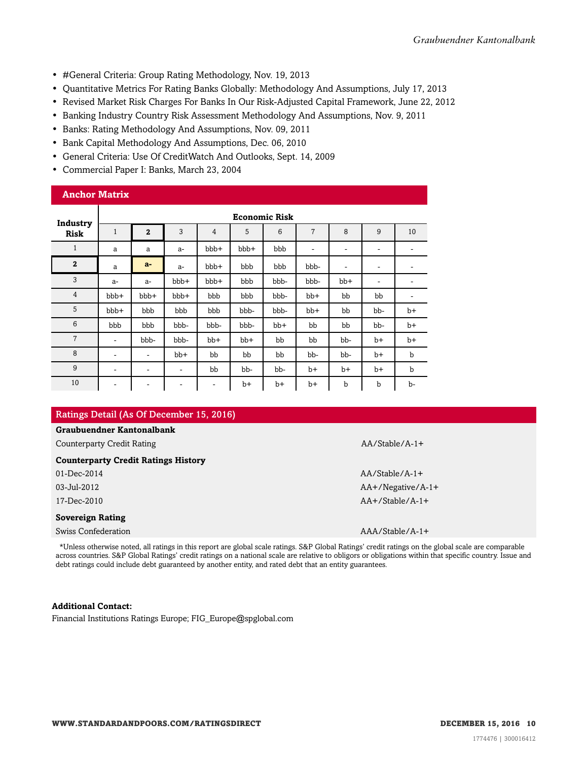- #General Criteria: Group Rating Methodology, Nov. 19, 2013
- Quantitative Metrics For Rating Banks Globally: Methodology And Assumptions, July 17, 2013
- Revised Market Risk Charges For Banks In Our Risk-Adjusted Capital Framework, June 22, 2012
- Banking Industry Country Risk Assessment Methodology And Assumptions, Nov. 9, 2011
- Banks: Rating Methodology And Assumptions, Nov. 09, 2011
- Bank Capital Methodology And Assumptions, Dec. 06, 2010
- General Criteria: Use Of CreditWatch And Outlooks, Sept. 14, 2009
- Commercial Paper I: Banks, March 23, 2004

#### **Anchor Matrix**

| Industry        | <b>Economic Risk</b> |                          |       |       |      |      |                              |             |                          |      |
|-----------------|----------------------|--------------------------|-------|-------|------|------|------------------------------|-------------|--------------------------|------|
| <b>Risk</b>     | $\mathbf{1}$         | $\overline{2}$           | 3     | 4     | 5    | 6    | 7                            | 8           | 9                        | 10   |
| $\mathbf{1}$    | a                    | a                        | $a-$  | bbb+  | bbb+ | bbb  | $\qquad \qquad \blacksquare$ | ٠           | ۰                        |      |
| $\mathbf{2}$    | a                    | $a-$                     | $a-$  | bbb+  | bbb  | bbb  | bbb-                         | ٠           | $\overline{\phantom{a}}$ | -    |
| 3               | $a-$                 | $a-$                     | bbb+  | bbb+  | bbb  | bbb- | bbb-                         | $bb+$       | -                        | -    |
| $\overline{4}$  | bbb+                 | bbb+                     | bbb+  | bbb   | bbb  | bbb- | $bb+$                        | bb          | bb                       | ۰    |
| 5               | bbb+                 | bbb                      | bbb   | bbb   | bbb- | bbb- | bb+                          | bb          | bb-                      | $b+$ |
| $6\phantom{1}6$ | bbb                  | bbb                      | bbb-  | bbb-  | bbb- | bb+  | bb                           | bb          | bb-                      | $b+$ |
| $\overline{7}$  | ۰                    | bbb-                     | bbb-  | $bb+$ | bb+  | bb   | bb                           | bb-         | $b+$                     | $b+$ |
| 8               | ۰                    | ٠                        | $bb+$ | bb    | bb   | bb   | bb-                          | bb-         | $b+$                     | b    |
| 9               | ۰                    | ۰                        | ۰     | bb    | bb-  | bb-  | $b+$                         | $b+$        | $b+$                     | b    |
| 10              | ۰                    | $\overline{\phantom{a}}$ | ۰     | ۰     | b+   | $b+$ | $b+$                         | $\mathbf b$ | $\mathbf b$              | b-   |

#### Ratings Detail (As Of December 15, 2016)

#### **Graubuendner Kantonalbank**

Counterparty Credit Rating AA/Stable/A-1+

#### **Counterparty Credit Ratings History**

| 01-Dec-2014 |  |
|-------------|--|
| 03-Jul-2012 |  |
|             |  |

#### **Sovereign Rating**

Swiss Confederation **AAA**/Stable/A-1+

AA/Stable/A-1+ AA+/Negative/A-1+ 17-Dec-2010 AA+/Stable/A-1+

\*Unless otherwise noted, all ratings in this report are global scale ratings. S&P Global Ratings' credit ratings on the global scale are comparable across countries. S&P Global Ratings' credit ratings on a national scale are relative to obligors or obligations within that specific country. Issue and debt ratings could include debt guaranteed by another entity, and rated debt that an entity guarantees.

#### **Additional Contact:**

Financial Institutions Ratings Europe; FIG\_Europe@spglobal.com